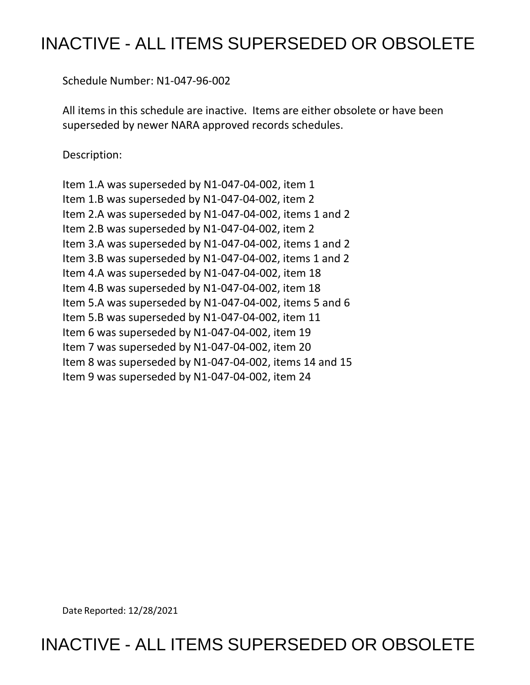# INACTIVE - ALL ITEMS SUPERSEDED OR OBSOLETE

Schedule Number: N1-047-96-002

 All items in this schedule are inactive. Items are either obsolete or have been superseded by newer NARA approved records schedules.

Description:

 Item 1.A was superseded by N1-047-04-002, item 1 Item 1.B was superseded by N1-047-04-002, item 2 Item 2.A was superseded by N1-047-04-002, items 1 and 2 Item 2.B was superseded by N1-047-04-002, item 2 Item 3.A was superseded by N1-047-04-002, items 1 and 2 Item 3.B was superseded by N1-047-04-002, items 1 and 2 Item 4.A was superseded by N1-047-04-002, item 18 Item 4.B was superseded by N1-047-04-002, item 18 Item 5.A was superseded by N1-047-04-002, items 5 and 6 Item 5.B was superseded by N1-047-04-002, item 11 Item 6 was superseded by N1-047-04-002, item 19 Item 7 was superseded by N1-047-04-002, item 20 Item 8 was superseded by N1-047-04-002, items 14 and 15 Item 9 was superseded by N1-047-04-002, item 24

Date Reported: 12/28/2021

INACTIVE - ALL ITEMS SUPERSEDED OR OBSOLETE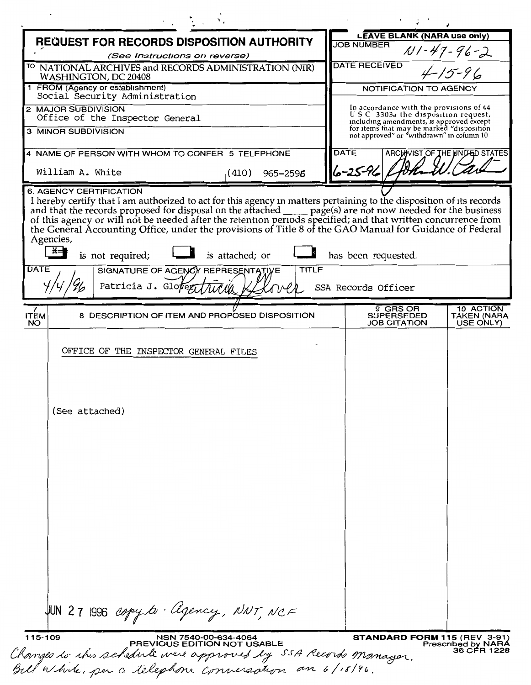| REQUEST FOR RECORDS DISPOSITION AUTHORITY<br>(See Instructions on reverse)                                             |                             |              |  | <b>LEAVE BLANK (NARA use only)</b><br><b>JOB NUMBER</b> |                                                      |                                                                                                                           |  |
|------------------------------------------------------------------------------------------------------------------------|-----------------------------|--------------|--|---------------------------------------------------------|------------------------------------------------------|---------------------------------------------------------------------------------------------------------------------------|--|
|                                                                                                                        |                             |              |  |                                                         |                                                      | $11 - 47 - 96 - 2$                                                                                                        |  |
| <sup>TO</sup> NATIONAL ARCHIVES and RECORDS ADMINISTRATION (NIR)<br>WASHINGTON, DC 20408                               |                             |              |  | <b>DATE RECEIVED</b><br>$4-15-96$                       |                                                      |                                                                                                                           |  |
| 1 FROM (Agency or establishment)<br>Social Security Administration                                                     |                             |              |  | NOTIFICATION TO AGENCY                                  |                                                      |                                                                                                                           |  |
| 2 MAJOR SUBDIVISION<br>Office of the Inspector General                                                                 |                             |              |  |                                                         |                                                      | In accordance with the provisions of 44<br>USC 3303a the disposition request,<br>including amendments, is approved except |  |
| 3 MINOR SUBDIVISION                                                                                                    |                             |              |  |                                                         |                                                      | for items that may be marked "disposition<br>not approved" or "withdrawn" in column 10                                    |  |
| 4 NAME OF PERSON WITH WHOM TO CONFER 5 TELEPHONE                                                                       |                             |              |  | <b>DATE</b>                                             |                                                      | ARCHIVIST OF THE UNITED STATES                                                                                            |  |
| William A. White                                                                                                       | (410)                       | 965-2596     |  | 6-25-96                                                 |                                                      |                                                                                                                           |  |
| Agencies,<br>$x =$<br>is not required;<br><b>DATE</b><br>SIGNATURE OF AGENCY REPRESENTATIVE<br>Patricia J. Glover      | is attached; or             | <b>TITLE</b> |  | has been requested.                                     |                                                      |                                                                                                                           |  |
|                                                                                                                        |                             |              |  | SSA Records Officer                                     |                                                      |                                                                                                                           |  |
| 7<br>8 DESCRIPTION OF ITEM AND PROPOSED DISPOSITION<br><b>ITEM</b><br><b>NO</b>                                        |                             |              |  |                                                         | 9 GRS OR<br><b>SUPERSEDED</b><br><b>JOB CITATION</b> | 10 ACTION<br><b>TAKEN (NARA</b><br>USE ONLY)                                                                              |  |
| (See attached)                                                                                                         |                             |              |  |                                                         |                                                      |                                                                                                                           |  |
| $JUN$ 27 1996 copy to ligency, NNT, NCF<br>115-109                                                                     | NSN 7540-00-634-4064        |              |  |                                                         |                                                      | <b>STANDARD FORM 115 (REV 3-91)</b>                                                                                       |  |
| Changes to this schedule were approved by SSA Records Manager.<br>Bill White, per a telephone conversation an 6/18/96. | PREVIOUS EDITION NOT USABLE |              |  |                                                         |                                                      | <b>Prescribed by NARA</b><br>36 CFR 1228                                                                                  |  |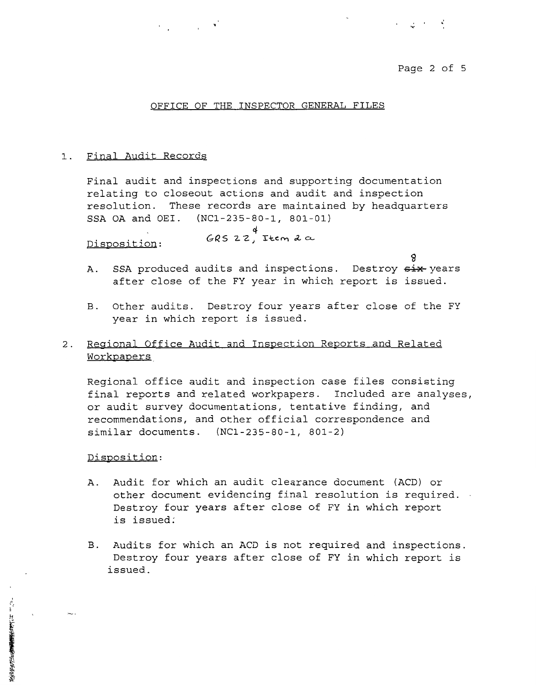Page 2 of 5

and the State

#### OFFICE OF THE INSPECTOR GENERAL FILES

#### 1. Final Audit Records

Final audit and inspections and supporting documentation relating to closeout actions and audit and inspection resolution. These records are maintained by headquarters SSA OA and OEI. (NCl-235-80-1, 801-01)

*4*  **G-QS 2 -Z J T-\:.t'!M t!L o..** Disposition:

- g A. SSA produced audits and inspections. Destroy  $\frac{1}{2}$  years after close of the FY year in which report is issued.
- B. Other audits. Destroy four years after close of the FY year in which report is issued.

## 2. Regional Office Audit and Inspection Reports and Related Workpapers.

Regional office audit and inspection case files consisting final reports and related workpapers. Included are analyses, or audit survey documentations, tentative finding, and recommendations, and other official correspondence and similar documents. (NCl-235-80-1, 801-2)

## Disposition:

「 」と 「 」におきる家族の事業を見たるながら

- A. Audit for which an audit clearance document (ACD) or other document evidencing final resolution is required. Destroy four years after close of FY in which report is issued:
- B. Audits for which an ACD is not required and inspections. Destroy four years after close of FY in which report is issued.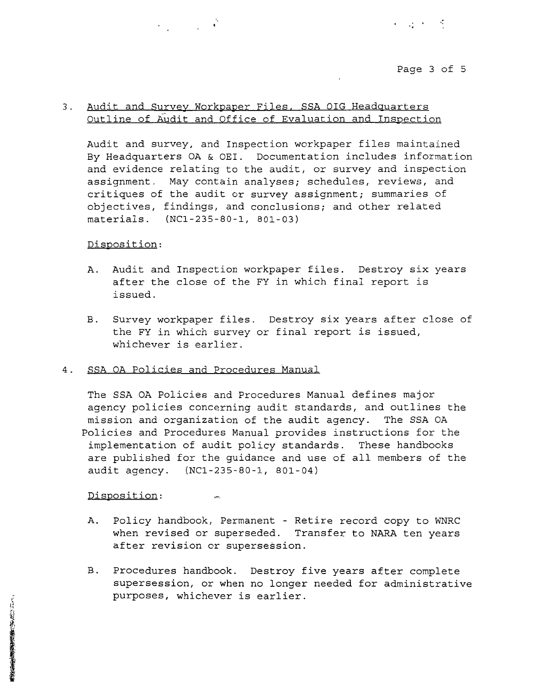#### Page 3 of 5

りっぱ とうろ

## 3. Audit and Survey Workpaper Files. SSA OIG Headguarters Outline of Audit and Office of Evaluation and Inspection

Audit and survey, and Inspection workpaper files maintained By Headquarters OA & OEI. Documentation includes information and evidence relating to the audit, or survey and inspection assignment. May contain analyses; schedules, reviews, and critiques of the audit or survey assignment; summaries of objectives, findings, and conclusions; and other related materials. (NCl-235-80-1, 801-03)

#### Disposition:

- A. Audit and Inspection workpaper files. Destroy six years after the close of the FY in which final report is issued.
- B. Survey workpaper files. Destroy six years after close of the FY in which survey or final report is issued, whichever is earlier.

## 4. SSA OA Policies and Procedures Manual

um,

 $\epsilon_{\rm{max}} = 1.00$ 

The SSA OA Policies and Procedures Manual defines major agency policies concerning audit standards, and outlines the mission and organization of the audit agency. The SSA OA Policies and Procedures Manual provides instructions for the implementation of audit policy standards. These handbooks are published for the guidance and use of all members of the audit agency. (NCl-235-80-1, 801-04)

Disposition:

- A. Policy handbook, Permanent Retire record copy to WNRC when revised or superseded. Transfer to NARA ten years after revision or supersession.
- B. Procedures handbook. Destroy five years after complete supersession, or when no longer needed for administrative purposes, whichever is earlier.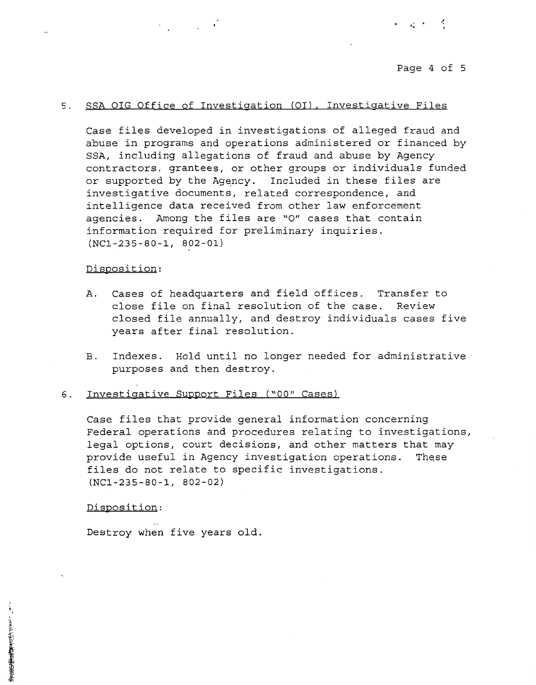•.

## 5. SSA OIG Office of Investigation (OI), Investigative Files

Case files developed in investigations of alleged fraud and abuse in programs and operations administered or financed by SSA, including allegations of fraud and abuse by Agency contractors, grantees, or other groups or individuals funded or supported by the Agency. Included in these files are investigative documents, related correspondence, and intelligence data received from other law enforcement agencies. Among the files are "0" cases that contain information required for preliminary inquiries. (NCl-235-80-1, 802-01)

#### Disposition:

- A. Cases of headquarters and field offices. Transfer to close file on final resolution of the case. Review closed file annually, and destroy individuals cases five years after final resolution.
- B. Indexes. Hold until no longer needed for administrative purposes and then destroy.

#### 6 . Investigative Support Files *("00"* Cases)

Case files that provide general information concerning Federal operations and procedures relating to investigations, legal options, court decisions, and other matters that may provide useful in Agency investigation operations. These files do not relate to specific investigations. **(NCl-235-80-1, 802-02)** 

Disposition:

Destroy when five years old.